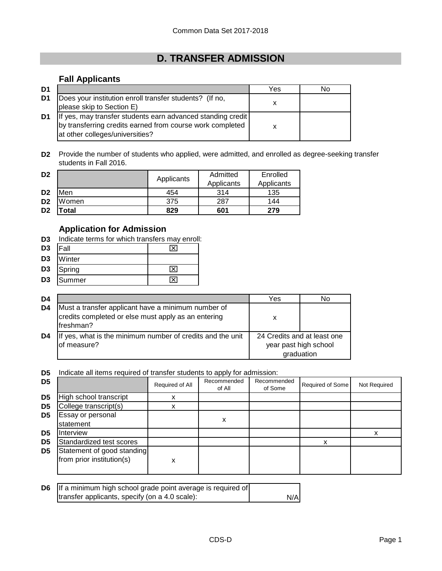## **D. TRANSFER ADMISSION**

## **Fall Applicants**

| D1 |                                                                                                                                                             | Yes | N٥ |
|----|-------------------------------------------------------------------------------------------------------------------------------------------------------------|-----|----|
| D1 | Does your institution enroll transfer students? (If no,<br>please skip to Section E)                                                                        |     |    |
| D1 | If yes, may transfer students earn advanced standing credit<br>by transferring credits earned from course work completed<br>at other colleges/universities? |     |    |

**D2** Provide the number of students who applied, were admitted, and enrolled as degree-seeking transfer students in Fall 2016.

| D <sub>2</sub> |            | Applicants               | Admitted | Enrolled |
|----------------|------------|--------------------------|----------|----------|
|                |            | Applicants<br>Applicants |          |          |
| D <sub>2</sub> | <b>Men</b> | 454                      | 314      | 135      |
| D <sub>2</sub> | Women      | 375                      | 287      | 144      |
| D <sub>2</sub> | 'otal      | 829                      | 601      | 279      |

## **Application for Admission**

**D3** Indicate terms for which transfers may enroll:

| D <sub>3</sub> | <b>IFall</b> |  |
|----------------|--------------|--|
|                | D3 Winter    |  |
|                | D3 Spring    |  |
| D3             | Summer       |  |

| D <sub>4</sub> |                                                                                                                         | Yes                         | No                                  |
|----------------|-------------------------------------------------------------------------------------------------------------------------|-----------------------------|-------------------------------------|
| D <sub>4</sub> | Must a transfer applicant have a minimum number of<br>credits completed or else must apply as an entering<br>lfreshman? | x                           |                                     |
| D4             | If yes, what is the minimum number of credits and the unit<br>of measure?                                               | 24 Credits and at least one | year past high school<br>graduation |

**D5** Indicate all items required of transfer students to apply for admission:

| D <sub>5</sub> |                                                         | Required of All | Recommended<br>of All | Recommended<br>of Some | Required of Some | Not Required |
|----------------|---------------------------------------------------------|-----------------|-----------------------|------------------------|------------------|--------------|
| D <sub>5</sub> | High school transcript                                  | x               |                       |                        |                  |              |
| D <sub>5</sub> | College transcript(s)                                   |                 |                       |                        |                  |              |
| D5             | Essay or personal<br>statement                          |                 | x                     |                        |                  |              |
| D <sub>5</sub> | Interview                                               |                 |                       |                        |                  |              |
| D5             | Standardized test scores                                |                 |                       |                        | v                |              |
| D <sub>5</sub> | Statement of good standing<br>from prior institution(s) | x               |                       |                        |                  |              |

| <b>D6</b> If a minimum high school grade point average is required of |     |
|-----------------------------------------------------------------------|-----|
| transfer applicants, specify (on a 4.0 scale):                        | N/A |